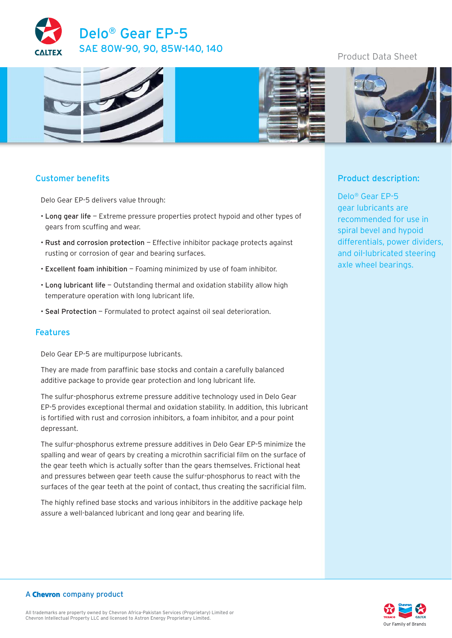

# Product Data Sheet



# Customer benefits

Delo Gear EP-5 delivers value through:

- Long gear life Extreme pressure properties protect hypoid and other types of gears from scuffing and wear.
- Rust and corrosion protection Effective inhibitor package protects against rusting or corrosion of gear and bearing surfaces.
- Excellent foam inhibition Foaming minimized by use of foam inhibitor.
- Long lubricant life Outstanding thermal and oxidation stability allow high temperature operation with long lubricant life.
- Seal Protection Formulated to protect against oil seal deterioration.

### Features

Delo Gear EP-5 are multipurpose lubricants.

They are made from paraffinic base stocks and contain a carefully balanced additive package to provide gear protection and long lubricant life.

The sulfur-phosphorus extreme pressure additive technology used in Delo Gear EP-5 provides exceptional thermal and oxidation stability. In addition, this lubricant is fortified with rust and corrosion inhibitors, a foam inhibitor, and a pour point depressant.

The sulfur-phosphorus extreme pressure additives in Delo Gear EP-5 minimize the spalling and wear of gears by creating a microthin sacrificial film on the surface of the gear teeth which is actually softer than the gears themselves. Frictional heat and pressures between gear teeth cause the sulfur-phosphorus to react with the surfaces of the gear teeth at the point of contact, thus creating the sacrificial film.

The highly refined base stocks and various inhibitors in the additive package help assure a well-balanced lubricant and long gear and bearing life.

## Product description:

Delo® Gear EP-5 gear lubricants are recommended for use in spiral bevel and hypoid differentials, power dividers, and oil-lubricated steering axle wheel bearings.



#### A Chevron company product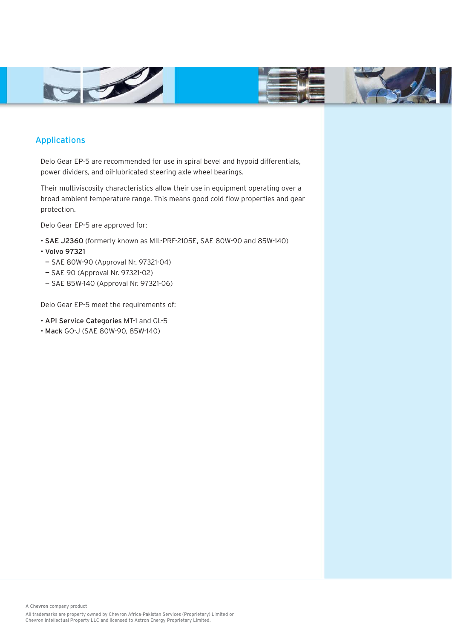



## Applications

Delo Gear EP-5 are recommended for use in spiral bevel and hypoid differentials, power dividers, and oil-lubricated steering axle wheel bearings.

Their multiviscosity characteristics allow their use in equipment operating over a broad ambient temperature range. This means good cold flow properties and gear protection.

Delo Gear EP-5 are approved for:

- SAE J2360 (formerly known as MIL-PRF-2105E, SAE 80W-90 and 85W-140)
- Volvo 97321
- SAE 80W-90 (Approval Nr. 97321-04)
- SAE 90 (Approval Nr. 97321-02)
- SAE 85W-140 (Approval Nr. 97321-06)

Delo Gear EP-5 meet the requirements of:

- API Service Categories MT-1 and GL-5
- Mack GO-J (SAE 80W-90, 85W-140)